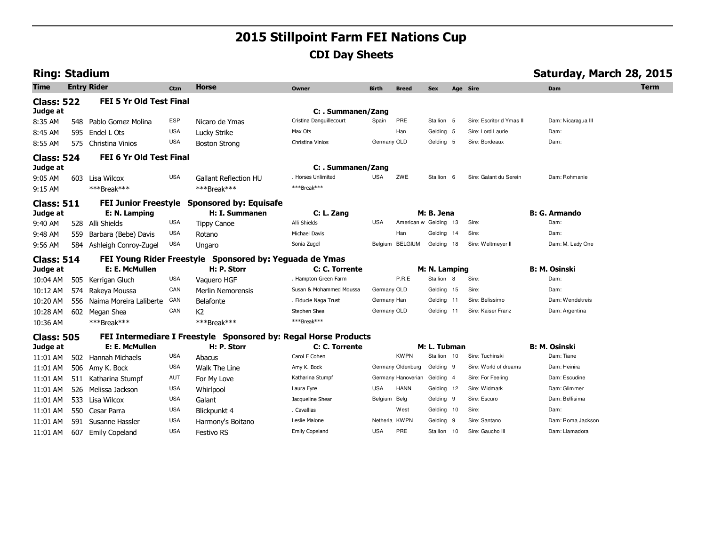# **2015 Stillpoint Farm FEI Nations Cup CDI Day Sheets**

| <b>Ring: Stadium</b> |     |                                |             |                                                                 |                         |               |                              |               |     |                          | Saturday, March 28, 2015 |             |
|----------------------|-----|--------------------------------|-------------|-----------------------------------------------------------------|-------------------------|---------------|------------------------------|---------------|-----|--------------------------|--------------------------|-------------|
| Time                 |     | <b>Entry Rider</b>             | <b>Ctzn</b> | Horse                                                           | Owner                   | <b>Birth</b>  | <b>Breed</b>                 | <b>Sex</b>    |     | Age Sire                 | Dam                      | <b>Term</b> |
| <b>Class: 522</b>    |     | <b>FEI 5 Yr Old Test Final</b> |             |                                                                 |                         |               |                              |               |     |                          |                          |             |
| Judge at             |     |                                |             |                                                                 | C: . Summanen/Zang      |               |                              |               |     |                          |                          |             |
| 8:35 AM              | 548 | Pablo Gomez Molina             | <b>ESP</b>  | Nicaro de Ymas                                                  | Cristina Danguillecourt | Spain         | PRE                          | Stallion 5    |     | Sire: Escritor d Ymas II | Dam: Nicaragua III       |             |
| 8:45 AM              | 595 | Endel L Ots                    | <b>USA</b>  | Lucky Strike                                                    | Max Ots                 |               | Han                          | Gelding 5     |     | Sire: Lord Laurie        | Dam:                     |             |
| 8:55 AM              | 575 | Christina Vinios               | <b>USA</b>  | <b>Boston Strong</b>                                            | Christina Vinios        | Germany OLD   |                              | Gelding 5     |     | Sire: Bordeaux           | Dam:                     |             |
| <b>Class: 524</b>    |     | FEI 6 Yr Old Test Final        |             |                                                                 |                         |               |                              |               |     |                          |                          |             |
| Judge at             |     |                                |             |                                                                 | C: . Summanen/Zang      |               |                              |               |     |                          |                          |             |
| 9:05 AM              |     | 603 Lisa Wilcox                | <b>USA</b>  | <b>Gallant Reflection HU</b>                                    | Horses Unlimited        | <b>USA</b>    | ZWE                          | Stallion 6    |     | Sire: Galant du Serein   | Dam: Rohmanie            |             |
| 9:15 AM              |     | ***Break***                    |             | ***Break***                                                     | ***Break***             |               |                              |               |     |                          |                          |             |
| <b>Class: 511</b>    |     |                                |             | FEI Junior Freestyle Sponsored by: Equisafe                     |                         |               |                              |               |     |                          |                          |             |
| Judge at             |     | E: N. Lamping                  |             | H: I. Summanen                                                  | C: L. Zang              |               |                              | M: B. Jena    |     |                          | <b>B: G. Armando</b>     |             |
| 9:40 AM              | 528 | Alli Shields                   | <b>USA</b>  | <b>Tippy Canoe</b>                                              | Alli Shields            | <b>USA</b>    | American w Gelding 13        |               |     | Sire:                    | Dam:                     |             |
| 9:48 AM              | 559 | Barbara (Bebe) Davis           | <b>USA</b>  | Rotano                                                          | Michael Davis           |               | Han                          | Gelding 14    |     | Sire:                    | Dam:                     |             |
| 9:56 AM              | 584 | Ashleigh Conroy-Zugel          | <b>USA</b>  | Ungaro                                                          | Sonia Zugel             |               | Belgium BELGIUM              | Gelding 18    |     | Sire: Weltmeyer II       | Dam: M. Lady One         |             |
| <b>Class: 514</b>    |     |                                |             | FEI Young Rider Freestyle Sponsored by: Yeguada de Ymas         |                         |               |                              |               |     |                          |                          |             |
| Judge at             |     | E: E. McMullen                 |             | H: P. Storr                                                     | C: C. Torrente          |               |                              | M: N. Lamping |     |                          | <b>B: M. Osinski</b>     |             |
| 10:04 AM             | 505 | Kerrigan Gluch                 | <b>USA</b>  | Vaquero HGF                                                     | . Hampton Green Farm    |               | P.R.E                        | Stallion 8    |     | Sire:                    | Dam:                     |             |
| 10:12 AM             | 574 | Rakeya Moussa                  | CAN         | Merlin Nemorensis                                               | Susan & Mohammed Moussa | Germany OLD   |                              | Gelding 15    |     | Sire:                    | Dam:                     |             |
| 10:20 AM             | 556 | Naima Moreira Laliberte        | CAN         | Belafonte                                                       | . Fiducie Naga Trust    | Germany Han   |                              | Gelding 11    |     | Sire: Belissimo          | Dam: Wendekreis          |             |
| 10:28 AM             | 602 | Megan Shea                     | CAN         | K <sub>2</sub>                                                  | Stephen Shea            | Germany OLD   |                              | Gelding 11    |     | Sire: Kaiser Franz       | Dam: Argentina           |             |
| 10:36 AM             |     | ***Break***                    |             | ***Break***                                                     | ***Break***             |               |                              |               |     |                          |                          |             |
| <b>Class: 505</b>    |     |                                |             | FEI Intermediare I Freestyle Sponsored by: Regal Horse Products |                         |               |                              |               |     |                          |                          |             |
| Judge at             |     | E: E. McMullen                 |             | H: P. Storr                                                     | C: C. Torrente          |               |                              | M: L. Tubman  |     |                          | <b>B: M. Osinski</b>     |             |
| 11:01 AM             | 502 | Hannah Michaels                | <b>USA</b>  | Abacus                                                          | Carol F Cohen           |               | <b>KWPN</b>                  | Stallion 10   |     | Sire: Tuchinski          | Dam: Tiane               |             |
| 11:01 AM             | 506 | Amy K. Bock                    | <b>USA</b>  | Walk The Line                                                   | Amy K. Bock             |               | Germany Oldenburg            | Gelding 9     |     | Sire: World of dreams    | Dam: Heinira             |             |
| 11:01 AM             | 511 | Katharina Stumpf               | AUT         | For My Love                                                     | Katharina Stumpf        |               | Germany Hanoverian Gelding 4 |               |     | Sire: For Feeling        | Dam: Escudine            |             |
| 11:01 AM             | 526 | Melissa Jackson                | <b>USA</b>  | Whirlpool                                                       | Laura Eyre              | <b>USA</b>    | <b>HANN</b>                  | Gelding 12    |     | Sire: Widmark            | Dam: Glimmer             |             |
| 11:01 AM             | 533 | Lisa Wilcox                    | <b>USA</b>  | Galant                                                          | Jacqueline Shear        | Belgium Belg  |                              | Gelding 9     |     | Sire: Escuro             | Dam: Bellisima           |             |
| 11:01 AM             | 550 | Cesar Parra                    | <b>USA</b>  | Blickpunkt 4                                                    | . Cavallias             |               | West                         | Gelding 10    |     | Sire:                    | Dam:                     |             |
| 11:01 AM             |     | 591 Susanne Hassler            | <b>USA</b>  | Harmony's Boitano                                               | Leslie Malone           | Netherla KWPN |                              | Gelding       | - 9 | Sire: Santano            | Dam: Roma Jackson        |             |
| 11:01 AM             |     | 607 Emily Copeland             | <b>USA</b>  | Festivo RS                                                      | <b>Emily Copeland</b>   | <b>USA</b>    | PRE                          | Stallion 10   |     | Sire: Gaucho III         | Dam: Llamadora           |             |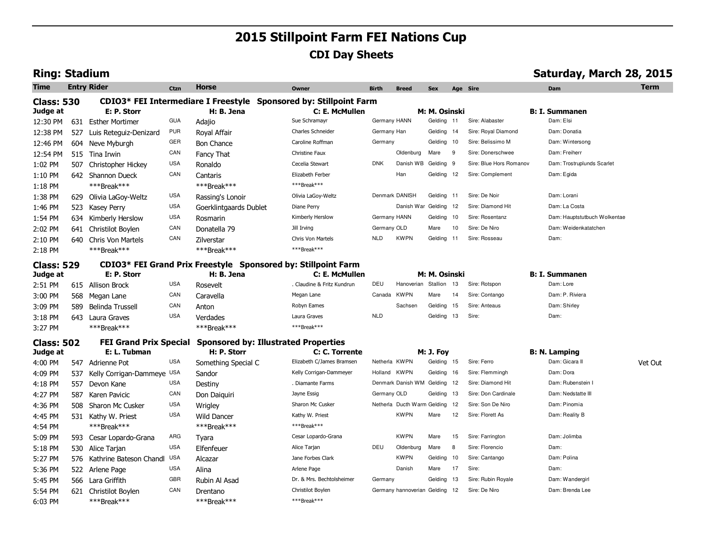# **2015 Stillpoint Farm FEI Nations Cup CDI Day Sheets**

## **Ring: Stadium Saturday, March 28, 2015**

| <b>Time</b>       |     | <b>Entry Rider</b>            | Ctzn       | <b>Horse</b>                                                      | <b>Owner</b>               | <b>Birth</b>  | <b>Breed</b>                 | <b>Sex</b>       | Age Sire |                         | <b>Dam</b>                   | <b>Term</b> |
|-------------------|-----|-------------------------------|------------|-------------------------------------------------------------------|----------------------------|---------------|------------------------------|------------------|----------|-------------------------|------------------------------|-------------|
| <b>Class: 530</b> |     |                               |            | CDIO3* FEI Intermediare I Freestyle Sponsored by: Stillpoint Farm |                            |               |                              |                  |          |                         |                              |             |
| Judge at          |     | E: P. Storr                   |            | H: B. Jena                                                        | C: E. McMullen             |               |                              | M: M. Osinski    |          |                         | <b>B: I. Summanen</b>        |             |
| 12:30 PM          | 631 | <b>Esther Mortimer</b>        | <b>GUA</b> | Adajio                                                            | Sue Schramayr              | Germany HANN  |                              | Gelding 11       |          | Sire: Alabaster         | Dam: Elsi                    |             |
| 12:38 PM          | 527 | Luis Reteguiz-Denizard        | <b>PUR</b> | Royal Affair                                                      | Charles Schneider          | Germany Han   |                              | Gelding          | 14       | Sire: Royal Diamond     | Dam: Donatia                 |             |
| 12:46 PM          | 604 | Neve Myburgh                  | GER        | <b>Bon Chance</b>                                                 | Caroline Roffman           | Germany       |                              | Gelding 10       |          | Sire: Belissimo M       | Dam: Wintersong              |             |
| 12:54 PM          | 515 | Tina Irwin                    | CAN        | Fancy That                                                        | Christine Faux             |               | Oldenburg                    | Mare             | 9        | Sire: Donerschwee       | Dam: Freiherr                |             |
| 1:02 PM           | 507 | Christopher Hickey            | <b>USA</b> | Ronaldo                                                           | Cecelia Stewart            | <b>DNK</b>    | Danish WB                    | Gelding          | 9        | Sire: Blue Hors Romanov | Dam: Trostruplunds Scarlet   |             |
| 1:10 PM           | 642 | <b>Shannon Dueck</b>          | CAN        | Cantaris                                                          | Elizabeth Ferber           |               | Han                          | Gelding 12       |          | Sire: Complement        | Dam: Egida                   |             |
| $1:18$ PM         |     | ***Break***                   |            | ***Break***                                                       | ***Break***                |               |                              |                  |          |                         |                              |             |
| 1:38 PM           | 629 | Olivia LaGoy-Weltz            | <b>USA</b> | Rassing's Lonoir                                                  | Olivia LaGoy-Weltz         |               | Denmark DANISH               | Gelding 11       |          | Sire: De Noir           | Dam: Lorani                  |             |
| 1:46 PM           | 523 | <b>Kasey Perry</b>            | <b>USA</b> | Goerklintgaards Dublet                                            | Diane Perry                |               | Danish War Gelding           |                  | 12       | Sire: Diamond Hit       | Dam: La Costa                |             |
| 1:54 PM           | 634 | Kimberly Herslow              | <b>USA</b> | Rosmarin                                                          | Kimberly Herslow           | Germany HANN  |                              | Gelding          | 10       | Sire: Rosentanz         | Dam: Hauptstutbuch Wolkentae |             |
| 2:02 PM           | 641 | Christilot Boylen             | CAN        | Donatella 79                                                      | Jill Irving                | Germany OLD   |                              | Mare             | 10       | Sire: De Niro           | Dam: Weidenkatatchen         |             |
| 2:10 PM           | 640 | <b>Chris Von Martels</b>      | CAN        | Zilverstar                                                        | Chris Von Martels          | <b>NLD</b>    | <b>KWPN</b>                  | Gelding          | 11       | Sire: Rosseau           | Dam:                         |             |
| 2:18 PM           |     | ***Break***                   |            | ***Break***                                                       | ***Break***                |               |                              |                  |          |                         |                              |             |
| <b>Class: 529</b> |     |                               |            | CDIO3* FEI Grand Prix Freestyle Sponsored by: Stillpoint Farm     |                            |               |                              |                  |          |                         |                              |             |
| Judge at          |     | E: P. Storr                   |            | H: B. Jena                                                        | C: E. McMullen             |               |                              | M: M. Osinski    |          |                         | <b>B: I. Summanen</b>        |             |
| 2:51 PM           | 615 | Allison Brock                 | <b>USA</b> | Rosevelt                                                          | . Claudine & Fritz Kundrun | DEU           | Hanoverian                   | Stallion         | 13       | Sire: Rotspon           | Dam: Lore                    |             |
| 3:00 PM           | 568 | Megan Lane                    | CAN        | Caravella                                                         | Megan Lane                 | Canada        | <b>KWPN</b>                  | Mare             | 14       | Sire: Contango          | Dam: P. Riviera              |             |
| 3:09 PM           | 589 | Belinda Trussell              | CAN        | Anton                                                             | Robyn Eames                |               | Sachsen                      | Gelding          | 15       | Sire: Anteaus           | Dam: Shirley                 |             |
| 3:18 PM           | 643 | Laura Graves                  | <b>USA</b> | Verdades                                                          | Laura Graves               | <b>NLD</b>    |                              | Gelding          | 13       | Sire:                   | Dam:                         |             |
| 3:27 PM           |     | ***Break***                   |            | ***Break***                                                       | ***Break***                |               |                              |                  |          |                         |                              |             |
| <b>Class: 502</b> |     | <b>FEI Grand Prix Special</b> |            | <b>Sponsored by: Illustrated Properties</b>                       |                            |               |                              |                  |          |                         |                              |             |
| Judge at          |     | E: L. Tubman                  |            | H: P. Storr                                                       | C: C. Torrente             |               |                              | <b>M: J. Foy</b> |          |                         | <b>B: N. Lamping</b>         |             |
| 4:00 PM           |     | 547 Adrienne Pot              | <b>USA</b> | Something Special C                                               | Elizabeth C/James Bramsen  | Netherla KWPN |                              | Gelding 15       |          | Sire: Ferro             | Dam: Gicara II               | Vet Out     |
| 4:09 PM           | 537 | Kelly Corrigan-Dammeye USA    |            | Sandor                                                            | Kelly Corrigan-Dammeyer    | Holland KWPN  |                              | Gelding 16       |          | Sire: Flemmingh         | Dam: Dora                    |             |
| 4:18 PM           | 557 | Devon Kane                    | <b>USA</b> | Destiny                                                           | . Diamante Farms           |               | Denmark Danish WM Gelding 12 |                  |          | Sire: Diamond Hit       | Dam: Rubenstein I            |             |
| 4:27 PM           | 587 | Karen Pavicic                 | CAN        | Don Daiguiri                                                      | Jayne Essig                | Germany OLD   |                              | Gelding          | 13       | Sire: Don Cardinale     | Dam: Nedstatte III           |             |
| 4:36 PM           | 508 | Sharon Mc Cusker              | <b>USA</b> | Wrigley                                                           | Sharon Mc Cusker           |               | Netherla Ducth Warm Gelding  |                  | 12       | Sire: Son De Niro       | Dam: Pinomia                 |             |
| 4:45 PM           |     | 531 Kathy W. Priest           | USA        | <b>Wild Dancer</b>                                                | Kathy W. Priest            |               | <b>KWPN</b>                  | Mare             | 12       | Sire: Florett As        | Dam: Reality B               |             |
| 4:54 PM           |     | ***Break***                   |            | ***Break***                                                       | ***Break***                |               |                              |                  |          |                         |                              |             |
| 5:09 PM           | 593 | Cesar Lopardo-Grana           | ARG        | Tyara                                                             | Cesar Lopardo-Grana        |               | <b>KWPN</b>                  | Mare             | 15       | Sire: Farrington        | Dam: Jolimba                 |             |
| 5:18 PM           | 530 | Alice Tarjan                  | <b>USA</b> | Elfenfeuer                                                        | Alice Tarjan               | DEU           | Oldenburg                    | Mare             | 8        | Sire: Florencio         | Dam:                         |             |
| 5:27 PM           | 576 | Kathrine Bateson Chandl       | <b>USA</b> | Alcazar                                                           | Jane Forbes Clark          |               | <b>KWPN</b>                  | Gelding          | 10       | Sire: Cantango          | Dam: Polina                  |             |
| 5:36 PM           |     | 522 Arlene Page               | <b>USA</b> | Alina                                                             | Arlene Page                |               | Danish                       | Mare             | 17       | Sire:                   | Dam:                         |             |
| 5:45 PM           | 566 | Lara Griffith                 | GBR        | Rubin Al Asad                                                     | Dr. & Mrs. Bechtolsheimer  | Germany       |                              | Gelding          | 13       | Sire: Rubin Royale      | Dam: Wandergirl              |             |
| 5:54 PM           | 621 | Christilot Boylen             | CAN        | Drentano                                                          | Christilot Boylen          |               | Germany hannoverian Gelding  |                  | 12       | Sire: De Niro           | Dam: Brenda Lee              |             |
| 6:03 PM           |     | ***Break***                   |            | ***Break***                                                       | ***Break***                |               |                              |                  |          |                         |                              |             |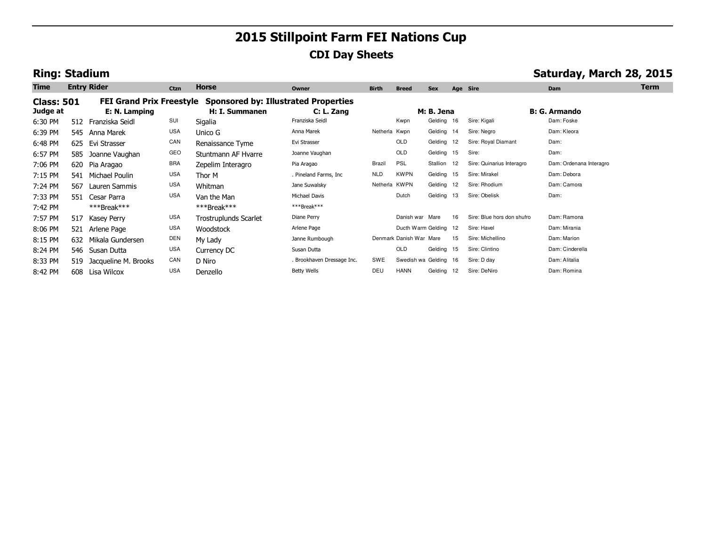# **2015 Stillpoint Farm FEI Nations Cup CDI Day Sheets**

## **Ring: Stadium Saturday, March 28, 2015**

| <b>Time</b>                   |     | <b>Entry Rider</b>       | Ctzn       | Horse                                                                           | Owner                      | <b>Birth</b>  | <b>Breed</b>            | <b>Sex</b>  |    | Age Sire                   | Dam                     | <b>Term</b> |
|-------------------------------|-----|--------------------------|------------|---------------------------------------------------------------------------------|----------------------------|---------------|-------------------------|-------------|----|----------------------------|-------------------------|-------------|
| <b>Class: 501</b><br>Judge at |     | E: N. Lamping            |            | FEI Grand Prix Freestyle Sponsored by: Illustrated Properties<br>H: I. Summanen | C: L. Zang                 |               |                         | M: B. Jena  |    |                            | <b>B: G. Armando</b>    |             |
| 6:30 PM                       | 512 | Franziska Seidl          | SUI        | Sigalia                                                                         | Franziska Seidl            |               | Kwpn                    | Gelding 16  |    | Sire: Kigali               | Dam: Foske              |             |
| 6:39 PM                       |     | 545 Anna Marek           | <b>USA</b> | Unico G                                                                         | Anna Marek                 | Netherla Kwpn |                         | Gelding 14  |    | Sire: Negro                | Dam: Kleora             |             |
| 6:48 PM                       |     | 625 Evi Strasser         | CAN        | Renaissance Tyme                                                                | Evi Strasser               |               | OLD                     | Gelding 12  |    | Sire: Royal Diamant        | Dam:                    |             |
| 6:57 PM                       | 585 | Joanne Vaughan           | GEO        | Stuntmann AF Hyarre                                                             | Joanne Vaughan             |               | <b>OLD</b>              | Gelding 15  |    | Sire:                      | Dam:                    |             |
| 7:06 PM                       |     | 620 Pia Aragao           | <b>BRA</b> | Zepelim Interagro                                                               | Pia Aragao                 | Brazil        | <b>PSL</b>              | Stallion 12 |    | Sire: Quinarius Interagro  | Dam: Ordenana Interagro |             |
| 7:15 PM                       |     | 541 Michael Poulin       | <b>USA</b> | Thor M                                                                          | . Pineland Farms, Inc      | <b>NLD</b>    | <b>KWPN</b>             | Gelding 15  |    | Sire: Mirakel              | Dam: Debora             |             |
| 7:24 PM                       | 567 | Lauren Sammis            | <b>USA</b> | Whitman                                                                         | Jane Suwalsky              | Netherla KWPN |                         | Gelding 12  |    | Sire: Rhodium              | Dam: Camora             |             |
| 7:33 PM                       |     | 551 Cesar Parra          | <b>USA</b> | Van the Man                                                                     | Michael Davis              |               | Dutch                   | Gelding 13  |    | Sire: Obelisk              | Dam:                    |             |
| 7:42 PM                       |     | $***$ Break***           |            | $***$ Break***                                                                  | ***Break***                |               |                         |             |    |                            |                         |             |
| 7:57 PM                       | 517 | Kasey Perry              | <b>USA</b> | <b>Trostruplunds Scarlet</b>                                                    | Diane Perry                |               | Danish war Mare         |             | 16 | Sire: Blue hors don shufro | Dam: Ramona             |             |
| 8:06 PM                       | 521 | Arlene Page              | <b>USA</b> | Woodstock                                                                       | Arlene Page                |               | Ducth Warm Gelding 12   |             |    | Sire: Havel                | Dam: Mirania            |             |
| 8:15 PM                       | 632 | Mikala Gundersen         | DEN        | My Lady                                                                         | Janne Rumbough             |               | Denmark Danish War Mare |             | 15 | Sire: Michellino           | Dam: Marion             |             |
| 8:24 PM                       |     | 546 Susan Dutta          | <b>USA</b> | Currency DC                                                                     | Susan Dutta                |               | OLD                     | Gelding 15  |    | Sire: Clintino             | Dam: Cinderella         |             |
| 8:33 PM                       |     | 519 Jacqueline M. Brooks | CAN        | D Niro                                                                          | . Brookhaven Dressage Inc. | SWE           | Swedish wa Gelding 16   |             |    | Sire: D day                | Dam: Alitalia           |             |
| 8:42 PM                       |     | 608 Lisa Wilcox          | <b>USA</b> | Denzello                                                                        | <b>Betty Wells</b>         | DEU           | HANN                    | Gelding 12  |    | Sire: DeNiro               | Dam: Romina             |             |